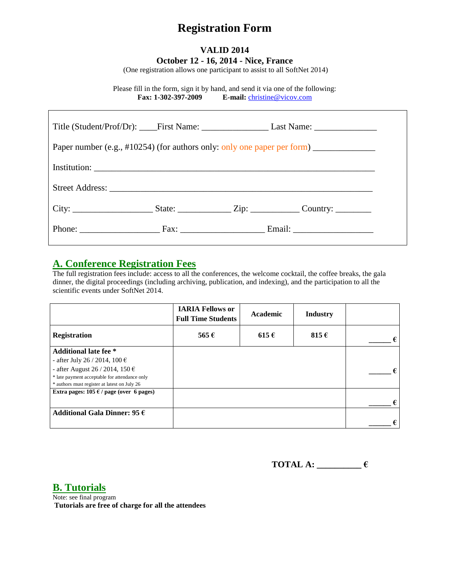# **Registration Form**

### **VALID 2014 October 12 - 16, 2014 - Nice, France**

(One registration allows one participant to assist to all SoftNet 2014)

Please fill in the form, sign it by hand, and send it via one of the following: **Fax: 1-302-397-2009 E-mail:** [christine@vicov.com](mailto:christine@vicov.com)

| Paper number (e.g., #10254) (for authors only: only one paper per form) _______________ |  |  |  |  |  |  |
|-----------------------------------------------------------------------------------------|--|--|--|--|--|--|
|                                                                                         |  |  |  |  |  |  |
|                                                                                         |  |  |  |  |  |  |
|                                                                                         |  |  |  |  |  |  |
|                                                                                         |  |  |  |  |  |  |

## **A. Conference Registration Fees**

The full registration fees include: access to all the conferences, the welcome cocktail, the coffee breaks, the gala dinner, the digital proceedings (including archiving, publication, and indexing), and the participation to all the scientific events under SoftNet 2014.

|                                                 | <b>IARIA Fellows or</b><br><b>Full Time Students</b> | Academic  | <b>Industry</b> |   |
|-------------------------------------------------|------------------------------------------------------|-----------|-----------------|---|
| <b>Registration</b>                             | 565 $\epsilon$                                       | $615 \in$ | 815 $\epsilon$  | € |
| <b>Additional late fee</b> *                    |                                                      |           |                 |   |
| - after July 26 / 2014, 100 €                   |                                                      |           |                 |   |
| - after August 26 / 2014, 150 $\epsilon$        |                                                      |           |                 |   |
| * late payment acceptable for attendance only   |                                                      |           |                 |   |
| * authors must register at latest on July 26    |                                                      |           |                 |   |
| Extra pages: $105 \in \ell$ page (over 6 pages) |                                                      |           |                 |   |
|                                                 |                                                      |           |                 | € |
| Additional Gala Dinner: 95 $\epsilon$           |                                                      |           |                 |   |
|                                                 |                                                      |           |                 | € |

**TOTAL A: \_\_\_\_\_\_\_\_\_\_ €**

**B. Tutorials**

Note: see final program **Tutorials are free of charge for all the attendees**